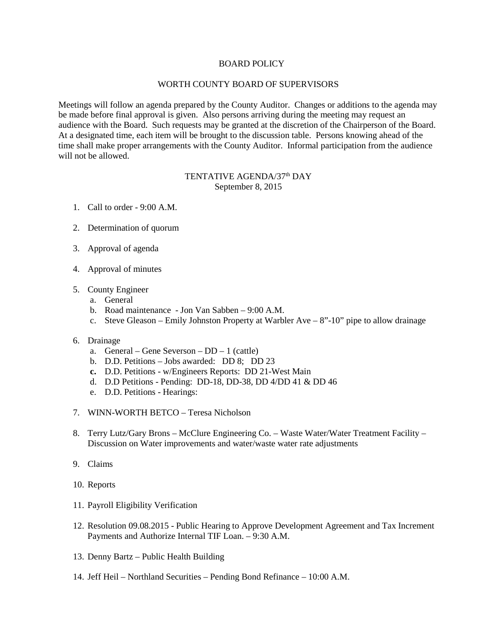## BOARD POLICY

## WORTH COUNTY BOARD OF SUPERVISORS

Meetings will follow an agenda prepared by the County Auditor. Changes or additions to the agenda may be made before final approval is given. Also persons arriving during the meeting may request an audience with the Board. Such requests may be granted at the discretion of the Chairperson of the Board. At a designated time, each item will be brought to the discussion table. Persons knowing ahead of the time shall make proper arrangements with the County Auditor. Informal participation from the audience will not be allowed.

## TENTATIVE AGENDA/37<sup>th</sup> DAY September 8, 2015

- 1. Call to order 9:00 A.M.
- 2. Determination of quorum
- 3. Approval of agenda
- 4. Approval of minutes
- 5. County Engineer
	- a. General
	- b. Road maintenance Jon Van Sabben 9:00 A.M.
	- c. Steve Gleason Emily Johnston Property at Warbler Ave 8"-10" pipe to allow drainage

## 6. Drainage

- a. General Gene Severson DD 1 (cattle)
- b. D.D. Petitions Jobs awarded: DD 8; DD 23
- **c.** D.D. Petitions w/Engineers Reports: DD 21-West Main
- d. D.D Petitions Pending: DD-18, DD-38, DD 4/DD 41 & DD 46
- e. D.D. Petitions Hearings:
- 7. WINN-WORTH BETCO Teresa Nicholson
- 8. Terry Lutz/Gary Brons McClure Engineering Co. Waste Water/Water Treatment Facility Discussion on Water improvements and water/waste water rate adjustments
- 9. Claims
- 10. Reports
- 11. Payroll Eligibility Verification
- 12. Resolution 09.08.2015 Public Hearing to Approve Development Agreement and Tax Increment Payments and Authorize Internal TIF Loan. – 9:30 A.M.
- 13. Denny Bartz Public Health Building
- 14. Jeff Heil Northland Securities Pending Bond Refinance 10:00 A.M.